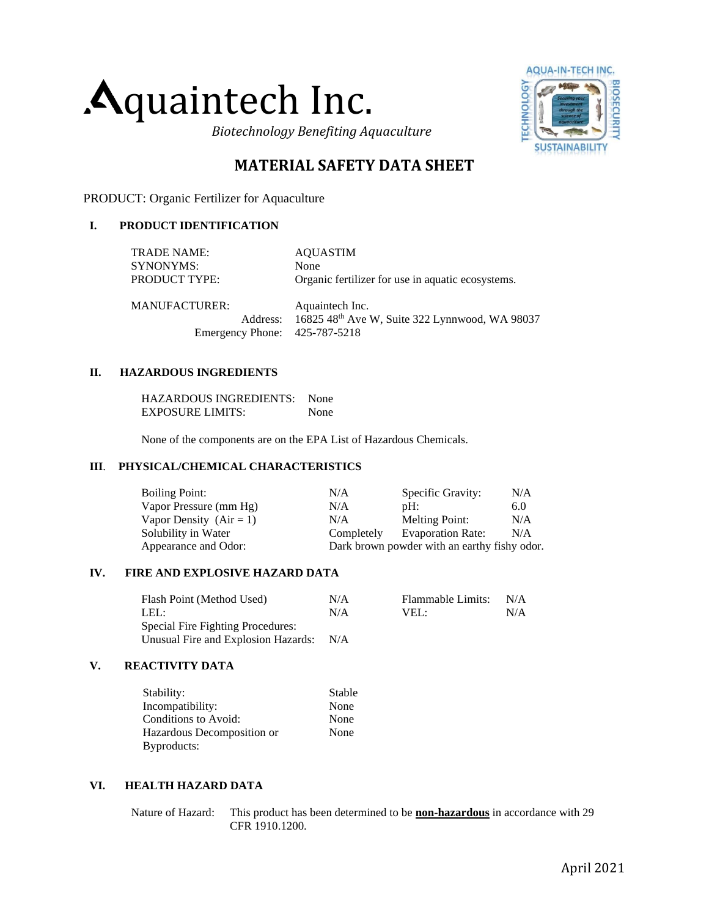## quaintech Inc.

**AQUA-IN-TECH INC.** ECHNOLOGY **DOSECURIT SUS** 

*Biotechnology Benefiting Aquaculture*

### **MATERIAL SAFETY DATA SHEET**

PRODUCT: Organic Fertilizer for Aquaculture

#### **I. PRODUCT IDENTIFICATION**

| TRADE NAME:                   | <b>AOUASTIM</b>                                         |
|-------------------------------|---------------------------------------------------------|
| SYNONYMS:                     | None                                                    |
| PRODUCT TYPE:                 | Organic fertilizer for use in aquatic ecosystems.       |
|                               |                                                         |
| MANUFACTURER:                 | Aquaintech Inc.                                         |
|                               | Address: 16825 48th Ave W, Suite 322 Lynnwood, WA 98037 |
| Emergency Phone: 425-787-5218 |                                                         |

#### **II. HAZARDOUS INGREDIENTS**

HAZARDOUS INGREDIENTS: None EXPOSURE LIMITS: None

None of the components are on the EPA List of Hazardous Chemicals.

#### **III**. **PHYSICAL/CHEMICAL CHARACTERISTICS**

| <b>Boiling Point:</b>     | N/A        | Specific Gravity:                            | N/A |
|---------------------------|------------|----------------------------------------------|-----|
| Vapor Pressure (mm Hg)    | N/A        | pH:                                          | 6.0 |
| Vapor Density $(Air = 1)$ | N/A        | <b>Melting Point:</b>                        | N/A |
| Solubility in Water       | Completely | <b>Evaporation Rate:</b>                     | N/A |
| Appearance and Odor:      |            | Dark brown powder with an earthy fishy odor. |     |

#### **IV. FIRE AND EXPLOSIVE HAZARD DATA**

| Flash Point (Method Used)           | N/A | Flammable Limits: | N/A |
|-------------------------------------|-----|-------------------|-----|
| LEL:                                | N/A | VEL:              | N/A |
| Special Fire Fighting Procedures:   |     |                   |     |
| Unusual Fire and Explosion Hazards: | N/A |                   |     |

#### **V. REACTIVITY DATA**

| Stability:                 | Stable |
|----------------------------|--------|
| Incompatibility:           | None   |
| Conditions to Avoid:       | None   |
| Hazardous Decomposition or | None   |
| Byproducts:                |        |

#### **VI. HEALTH HAZARD DATA**

Nature of Hazard: This product has been determined to be **non-hazardous** in accordance with 29 CFR 1910.1200.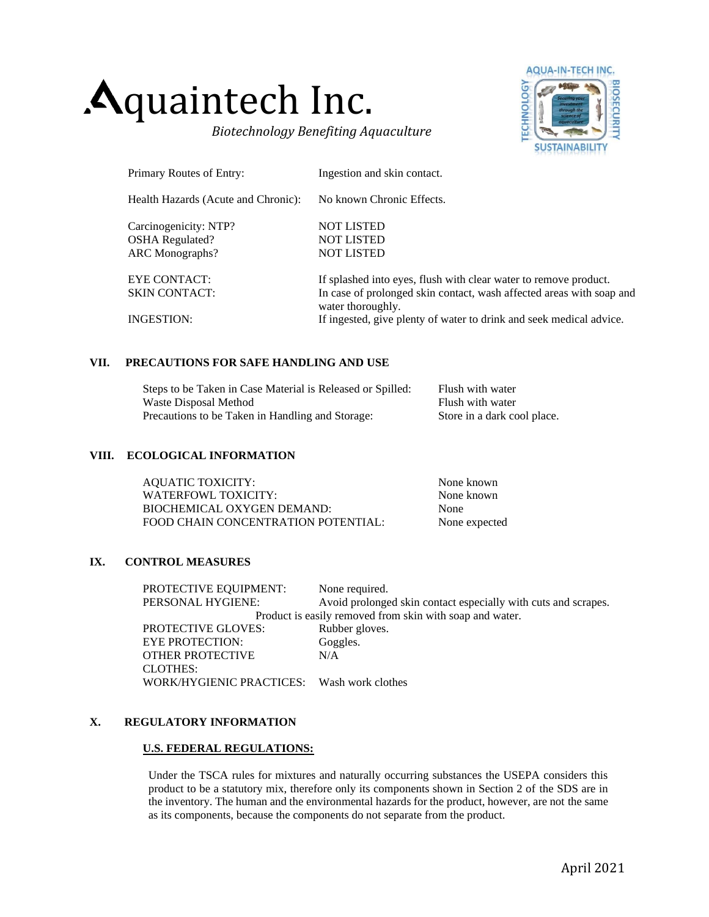# quaintech Inc.

*Biotechnology Benefiting Aquaculture*



| Primary Routes of Entry:            | Ingestion and skin contact.                                                               |
|-------------------------------------|-------------------------------------------------------------------------------------------|
| Health Hazards (Acute and Chronic): | No known Chronic Effects.                                                                 |
| Carcinogenicity: NTP?               | <b>NOT LISTED</b>                                                                         |
| <b>OSHA</b> Regulated?              | <b>NOT LISTED</b>                                                                         |
| <b>ARC</b> Monographs?              | <b>NOT LISTED</b>                                                                         |
| EYE CONTACT:                        | If splashed into eyes, flush with clear water to remove product.                          |
| <b>SKIN CONTACT:</b>                | In case of prolonged skin contact, wash affected areas with soap and<br>water thoroughly. |
| INGESTION:                          | If ingested, give plenty of water to drink and seek medical advice.                       |

#### **VII. PRECAUTIONS FOR SAFE HANDLING AND USE**

| Steps to be Taken in Case Material is Released or Spilled: | Flush with water            |
|------------------------------------------------------------|-----------------------------|
| Waste Disposal Method                                      | Flush with water            |
| Precautions to be Taken in Handling and Storage:           | Store in a dark cool place. |

#### **VIII. ECOLOGICAL INFORMATION**

| <b>AQUATIC TOXICITY:</b>            | None known    |
|-------------------------------------|---------------|
| WATERFOWL TOXICITY:                 | None known    |
| BIOCHEMICAL OXYGEN DEMAND:          | None          |
| FOOD CHAIN CONCENTRATION POTENTIAL: | None expected |

#### **IX. CONTROL MEASURES**

| None required.                                                 |  |
|----------------------------------------------------------------|--|
| Avoid prolonged skin contact especially with cuts and scrapes. |  |
| Product is easily removed from skin with soap and water.       |  |
| Rubber gloves.                                                 |  |
| Goggles.                                                       |  |
| N/A                                                            |  |
|                                                                |  |
| WORK/HYGIENIC PRACTICES: Wash work clothes                     |  |
|                                                                |  |

#### **X. REGULATORY INFORMATION**

#### **U.S. FEDERAL REGULATIONS:**

Under the TSCA rules for mixtures and naturally occurring substances the USEPA considers this product to be a statutory mix, therefore only its components shown in Section 2 of the SDS are in the inventory. The human and the environmental hazards for the product, however, are not the same as its components, because the components do not separate from the product.